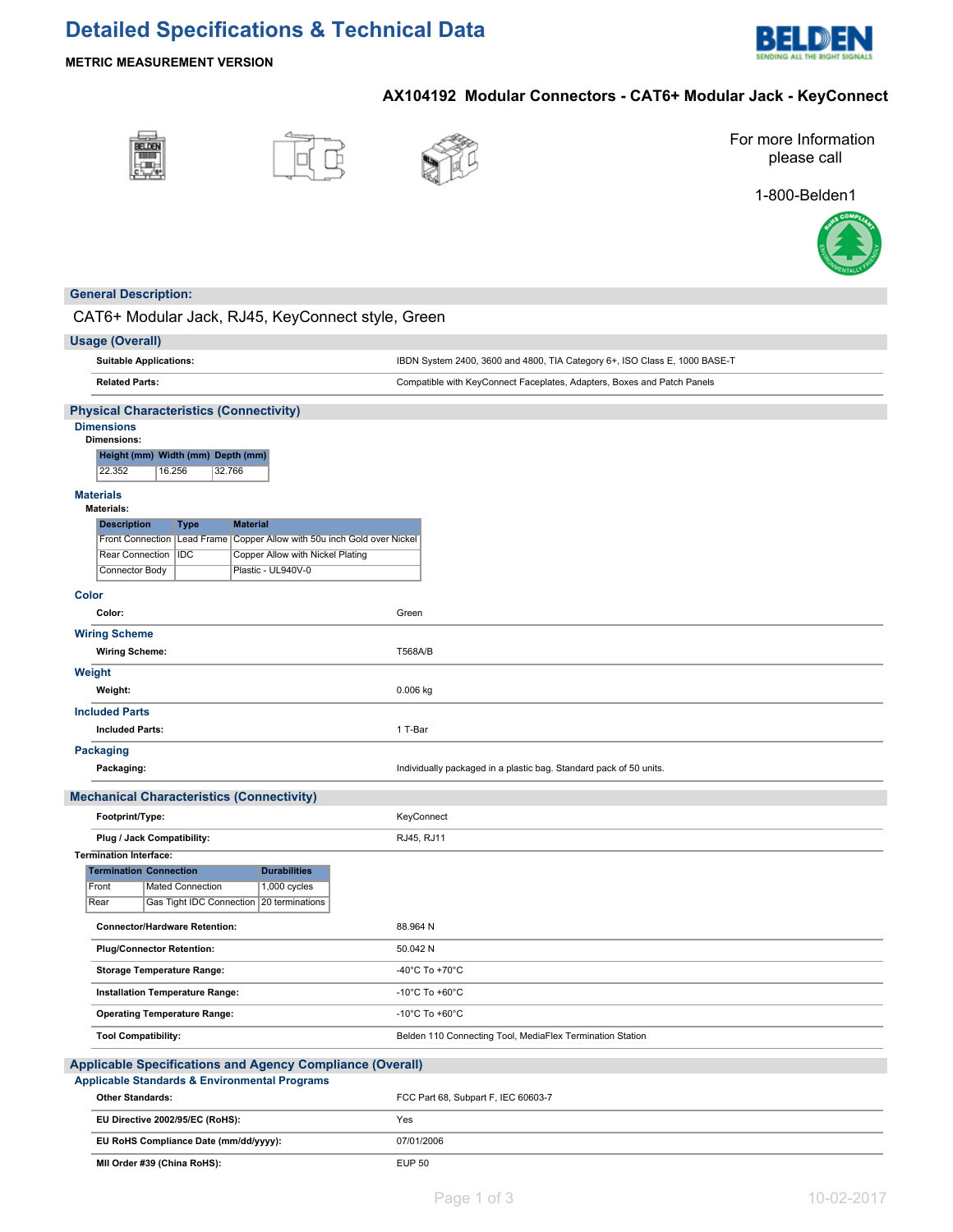# **Detailed Specifications & Technical Data**



## **METRIC MEASUREMENT VERSION**

# **AX104192 Modular Connectors - CAT6+ Modular Jack - KeyConnect**







For more Information please call

1-800-Belden1



## **General Description:**

CAT6+ Modular Jack, RJ45, KeyConnect style, Green

| <b>Usage (Overall)</b>                                                                           |                                                                            |
|--------------------------------------------------------------------------------------------------|----------------------------------------------------------------------------|
| <b>Suitable Applications:</b>                                                                    | IBDN System 2400, 3600 and 4800, TIA Category 6+, ISO Class E, 1000 BASE-T |
| <b>Related Parts:</b>                                                                            | Compatible with KeyConnect Faceplates, Adapters, Boxes and Patch Panels    |
| <b>Physical Characteristics (Connectivity)</b><br><b>Dimensions</b>                              |                                                                            |
| <b>Dimensions:</b>                                                                               |                                                                            |
| Height (mm) Width (mm) Depth (mm)<br>22.352<br>16.256<br>32.766                                  |                                                                            |
| <b>Materials</b>                                                                                 |                                                                            |
| <b>Materials:</b>                                                                                |                                                                            |
| <b>Material</b><br><b>Description</b><br><b>Type</b>                                             |                                                                            |
| Copper Allow with 50u inch Gold over Nickel<br>Front Connection   Lead Frame                     |                                                                            |
| Rear Connection<br><b>IDC</b><br>Copper Allow with Nickel Plating                                |                                                                            |
| Connector Body<br>Plastic - UL940V-0                                                             |                                                                            |
| <b>Color</b>                                                                                     |                                                                            |
| Color:                                                                                           | Green                                                                      |
| <b>Wiring Scheme</b>                                                                             |                                                                            |
| <b>Wiring Scheme:</b>                                                                            | <b>T568A/B</b>                                                             |
| Weight                                                                                           |                                                                            |
| Weight:                                                                                          | 0.006 kg                                                                   |
| <b>Included Parts</b>                                                                            |                                                                            |
| <b>Included Parts:</b>                                                                           | 1 T-Bar                                                                    |
| <b>Packaging</b>                                                                                 |                                                                            |
| Packaging:                                                                                       | Individually packaged in a plastic bag. Standard pack of 50 units.         |
| <b>Mechanical Characteristics (Connectivity)</b>                                                 |                                                                            |
| Footprint/Type:                                                                                  | KeyConnect                                                                 |
| Plug / Jack Compatibility:                                                                       | RJ45, RJ11                                                                 |
| <b>Termination Interface:</b>                                                                    |                                                                            |
| <b>Durabilities</b><br><b>Termination Connection</b>                                             |                                                                            |
| Front<br>1,000 cycles<br>Mated Connection<br>Gas Tight IDC Connection<br>Rear<br>20 terminations |                                                                            |
|                                                                                                  |                                                                            |
| <b>Connector/Hardware Retention:</b>                                                             | 88.964 N                                                                   |
| <b>Plug/Connector Retention:</b>                                                                 | 50.042 N                                                                   |
| <b>Storage Temperature Range:</b>                                                                | -40°C To +70°C                                                             |
| Installation Temperature Range:                                                                  | -10 $^{\circ}$ C To +60 $^{\circ}$ C                                       |
| <b>Operating Temperature Range:</b>                                                              | -10 $^{\circ}$ C To +60 $^{\circ}$ C                                       |
| <b>Tool Compatibility:</b>                                                                       | Belden 110 Connecting Tool, MediaFlex Termination Station                  |
| Applicable Specifications and Agency Compliance (Overall)                                        |                                                                            |
| <b>Applicable Standards &amp; Environmental Programs</b>                                         |                                                                            |
| <b>Other Standards:</b>                                                                          | FCC Part 68, Subpart F, IEC 60603-7                                        |
| EU Directive 2002/95/EC (RoHS):                                                                  | Yes                                                                        |
| EU RoHS Compliance Date (mm/dd/yyyy):                                                            | 07/01/2006                                                                 |
| MII Order #39 (China RoHS):                                                                      | <b>EUP 50</b>                                                              |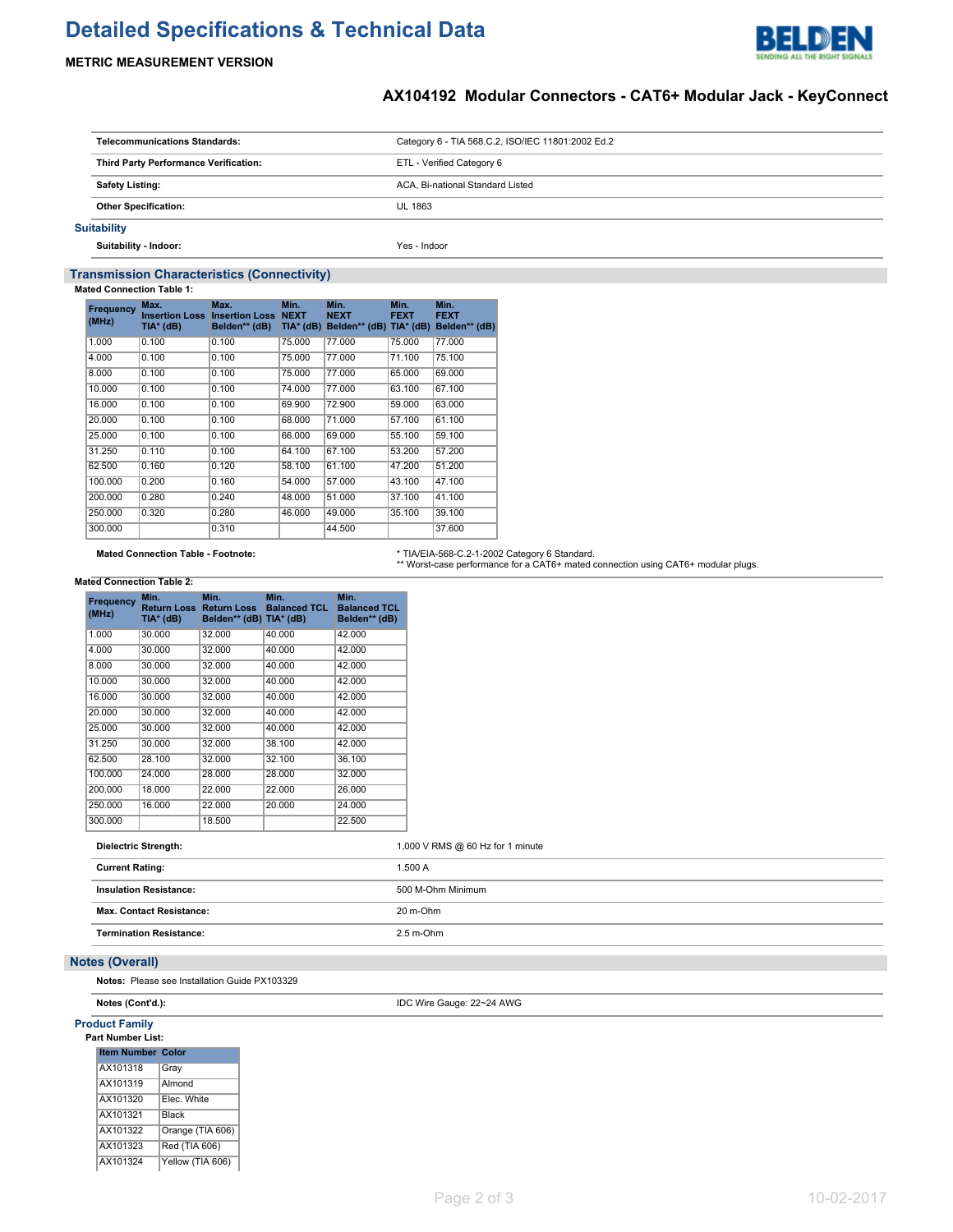# **Detailed Specifications & Technical Data**



### **METRIC MEASUREMENT VERSION**

### **AX104192 Modular Connectors - CAT6+ Modular Jack - KeyConnect**

| <b>Telecommunications Standards:</b>  | Category 6 - TIA 568.C.2, ISO/IEC 11801:2002 Ed.2 |
|---------------------------------------|---------------------------------------------------|
| Third Party Performance Verification: | ETL - Verified Category 6                         |
| <b>Safety Listing:</b>                | ACA, Bi-national Standard Listed                  |
| <b>Other Specification:</b>           | UL 1863                                           |
| <b>Suitability</b>                    |                                                   |

**Suitability - Indoor:** Yes - Indoor

### **Transmission Characteristics (Connectivity)**

**Mated Connection Table 1:**

| Frequency<br>(MHz) | Max.<br><b>Insertion Loss</b><br>TIA* (dB) | Max.<br><b>Insertion Loss</b><br>Belden** (dB) | Min.<br><b>NEXT</b><br>$TIA*$ (dB) | Min.<br><b>NEXT</b><br>Belden** (dB) TIA* (dB) | Min.<br><b>FEXT</b> | Min.<br><b>FEXT</b><br>Belden** (dB) |
|--------------------|--------------------------------------------|------------------------------------------------|------------------------------------|------------------------------------------------|---------------------|--------------------------------------|
| 1.000              | 0.100                                      | 0.100                                          | 75,000                             | 77.000                                         | 75.000              | 77.000                               |
| 4.000              | 0.100                                      | 0.100                                          | 75,000                             | 77.000                                         | 71.100              | 75.100                               |
| 8.000              | 0.100                                      | 0.100                                          | 75.000                             | 77.000                                         | 65.000              | 69.000                               |
| 10.000             | 0.100                                      | 0.100                                          | 74.000                             | 77.000                                         | 63.100              | 67.100                               |
| 16,000             | 0.100                                      | 0.100                                          | 69.900                             | 72.900                                         | 59.000              | 63.000                               |
| 20,000             | 0.100                                      | 0.100                                          | 68,000                             | 71.000                                         | 57.100              | 61.100                               |
| 25.000             | 0.100                                      | 0.100                                          | 66.000                             | 69.000                                         | 55.100              | 59.100                               |
| 31.250             | 0.110                                      | 0.100                                          | 64.100                             | 67.100                                         | 53.200              | 57.200                               |
| 62.500             | 0.160                                      | 0.120                                          | 58.100                             | 61.100                                         | 47.200              | 51.200                               |
| 100.000            | 0.200                                      | 0.160                                          | 54.000                             | 57.000                                         | 43.100              | 47.100                               |
| 200.000            | 0.280                                      | 0.240                                          | 48.000                             | 51.000                                         | 37.100              | 41.100                               |
| 250.000            | 0.320                                      | 0.280                                          | 46.000                             | 49.000                                         | 35.100              | 39.100                               |
| 300.000            |                                            | 0.310                                          |                                    | 44.500                                         |                     | 37.600                               |

Mated Connection Table - Footnote: http://www.mated.com/entitypedial/mated/2012 Category 6 Standard.<br>\*\* Worst-case performance for a CAT6+ mated connection using CAT6+ modular plugs.

### **Mated Connection Table 2:**

| Frequency<br>(MHz)     | Min.<br><b>Return Loss</b><br>TIA* (dB) | Min.<br><b>Return Loss</b><br>Belden** (dB) TIA* (dB) | Min.<br><b>Balanced TCL</b> | Min.<br><b>Balanced TCL</b><br>Belden** (dB) |
|------------------------|-----------------------------------------|-------------------------------------------------------|-----------------------------|----------------------------------------------|
| 1.000                  | 30.000                                  | 32.000                                                | 40.000                      | 42.000                                       |
| 4.000                  | 30.000                                  | 32.000                                                | 40.000                      | 42.000                                       |
| 8.000                  | 30.000                                  | 32.000                                                | 40.000                      | 42.000                                       |
| 10.000                 | 30.000                                  | 32.000                                                | 40.000                      | 42.000                                       |
| 16.000                 | 30.000                                  | 32.000                                                | 40.000                      | 42.000                                       |
| 20.000                 | 30.000                                  | 32.000                                                | 40.000                      | 42.000                                       |
| 25.000                 | 30.000                                  | 32.000                                                | 40.000                      | 42.000                                       |
| 31.250                 | 30.000                                  | 32.000                                                | 38.100                      | 42.000                                       |
| 62.500                 | 28.100                                  | 32.000                                                | 32.100                      | 36.100                                       |
| 100.000                | 24.000                                  | 28.000                                                | 28.000                      | 32.000                                       |
| 200.000                | 18,000                                  | 22.000                                                | 22.000                      | 26.000                                       |
| 250.000                | 16.000                                  | 22.000                                                | 20.000                      | 24.000                                       |
| 300.000                |                                         | 18.500                                                |                             | 22.500                                       |
| <b>Current Rating:</b> | <b>Dielectric Strength:</b>             |                                                       |                             | 1,00<br>1.50                                 |

|  |  | 1,000 V RMS @ 60 Hz for 1 minute |  |
|--|--|----------------------------------|--|
|--|--|----------------------------------|--|

| <b>Current Rating:</b>          | 1.500 A           |
|---------------------------------|-------------------|
| <b>Insulation Resistance:</b>   | 500 M-Ohm Minimum |
| <b>Max. Contact Resistance:</b> | 20 m-Ohm          |
| <b>Termination Resistance:</b>  | $2.5$ m-Ohm       |
|                                 |                   |

### **Notes (Overall)**

**Notes:** Please see Installation Guide PX103329

**Notes (Cont'd.):** IDC Wire Gauge: 22~24 AWG

### **Product Family** Pa

| ırt Number List:         |                  |
|--------------------------|------------------|
| <b>Item Number Color</b> |                  |
| AX101318                 | Gray             |
| AX101319                 | Almond           |
| AX101320                 | Elec. White      |
| AX101321                 | Black            |
| AX101322                 | Orange (TIA 606) |
| AX101323                 | Red (TIA 606)    |
| AX101324                 | Yellow (TIA 606) |